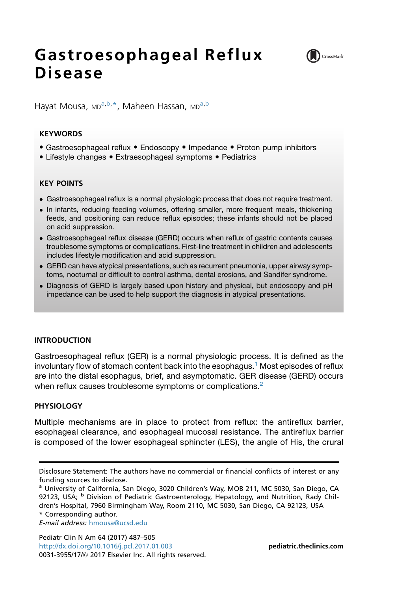# Gastroesophageal Reflux Disease



Hayat Mousa, <sub>MD</sub>a,b,\*, Maheen Hassan, <sub>MD</sub>a,b

## **KEYWORDS**

- Gastroesophageal reflux Endoscopy Impedance Proton pump inhibitors
- Lifestyle changes Extraesophageal symptoms Pediatrics

## KEY POINTS

- Gastroesophageal reflux is a normal physiologic process that does not require treatment.
- In infants, reducing feeding volumes, offering smaller, more frequent meals, thickening feeds, and positioning can reduce reflux episodes; these infants should not be placed on acid suppression.
- Gastroesophageal reflux disease (GERD) occurs when reflux of gastric contents causes troublesome symptoms or complications. First-line treatment in children and adolescents includes lifestyle modification and acid suppression.
- GERD can have atypical presentations, such as recurrent pneumonia, upper airway symptoms, nocturnal or difficult to control asthma, dental erosions, and Sandifer syndrome.
- Diagnosis of GERD is largely based upon history and physical, but endoscopy and pH impedance can be used to help support the diagnosis in atypical presentations.

### INTRODUCTION

Gastroesophageal reflux (GER) is a normal physiologic process. It is defined as the involuntary flow of stomach content back into the esophagus.<sup>[1](#page-12-0)</sup> Most episodes of reflux are into the distal esophagus, brief, and asymptomatic. GER disease (GERD) occurs when reflux causes troublesome symptoms or complications.<sup>[2](#page-12-0)</sup>

## PHYSIOLOGY

Multiple mechanisms are in place to protect from reflux: the antireflux barrier, esophageal clearance, and esophageal mucosal resistance. The antireflux barrier is composed of the lower esophageal sphincter (LES), the angle of His, the crural

E-mail address: [hmousa@ucsd.edu](mailto:hmousa@ucsd.edu)

Pediatr Clin N Am 64 (2017) 487–505 <http://dx.doi.org/10.1016/j.pcl.2017.01.003> **[pediatric.theclinics.com](http://pediatric.theclinics.com)** 0031-3955/17/@ 2017 Elsevier Inc. All rights reserved.

Disclosure Statement: The authors have no commercial or financial conflicts of interest or any funding sources to disclose.

<sup>&</sup>lt;sup>a</sup> University of California, San Diego, 3020 Children's Way, MOB 211, MC 5030, San Diego, CA 92123, USA; <sup>b</sup> Division of Pediatric Gastroenterology, Hepatology, and Nutrition, Rady Children's Hospital, 7960 Birmingham Way, Room 2110, MC 5030, San Diego, CA 92123, USA \* Corresponding author.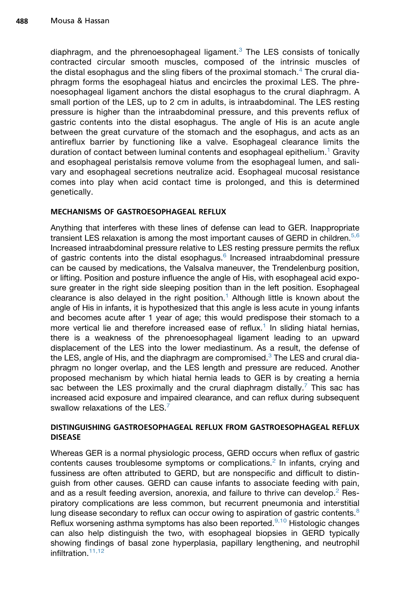diaphragm, and the phrenoesophageal ligament.<sup>[3](#page-12-0)</sup> The LES consists of tonically contracted circular smooth muscles, composed of the intrinsic muscles of the distal esophagus and the sling fibers of the proximal stomach.<sup>[4](#page-12-0)</sup> The crural diaphragm forms the esophageal hiatus and encircles the proximal LES. The phrenoesophageal ligament anchors the distal esophagus to the crural diaphragm. A small portion of the LES, up to 2 cm in adults, is intraabdominal. The LES resting pressure is higher than the intraabdominal pressure, and this prevents reflux of gastric contents into the distal esophagus. The angle of His is an acute angle between the great curvature of the stomach and the esophagus, and acts as an antireflux barrier by functioning like a valve. Esophageal clearance limits the duration of contact between luminal contents and esophageal epithelium.<sup>[1](#page-12-0)</sup> Gravity and esophageal peristalsis remove volume from the esophageal lumen, and salivary and esophageal secretions neutralize acid. Esophageal mucosal resistance comes into play when acid contact time is prolonged, and this is determined genetically.

### MECHANISMS OF GASTROESOPHAGEAL REFLUX

Anything that interferes with these lines of defense can lead to GER. Inappropriate transient LES relaxation is among the most important causes of GERD in children.<sup>[5,6](#page-12-0)</sup> Increased intraabdominal pressure relative to LES resting pressure permits the reflux of gastric contents into the distal esophagus. $6$  Increased intraabdominal pressure can be caused by medications, the Valsalva maneuver, the Trendelenburg position, or lifting. Position and posture influence the angle of His, with esophageal acid exposure greater in the right side sleeping position than in the left position. Esophageal clearance is also delayed in the right position.<sup>[1](#page-12-0)</sup> Although little is known about the angle of His in infants, it is hypothesized that this angle is less acute in young infants and becomes acute after 1 year of age; this would predispose their stomach to a more vertical lie and therefore increased ease of reflux.<sup>[1](#page-12-0)</sup> In sliding hiatal hernias, there is a weakness of the phrenoesophageal ligament leading to an upward displacement of the LES into the lower mediastinum. As a result, the defense of the LES, angle of His, and the diaphragm are compromised. $3$  The LES and crural diaphragm no longer overlap, and the LES length and pressure are reduced. Another proposed mechanism by which hiatal hernia leads to GER is by creating a hernia sac between the LES proximally and the crural diaphragm distally.<sup>[7](#page-12-0)</sup> This sac has increased acid exposure and impaired clearance, and can reflux during subsequent swallow relaxations of the LES.<sup>[7](#page-12-0)</sup>

### DISTINGUISHING GASTROESOPHAGEAL REFLUX FROM GASTROESOPHAGEAL REFLUX DISEASE

Whereas GER is a normal physiologic process, GERD occurs when reflux of gastric contents causes troublesome symptoms or complications.<sup>[2](#page-12-0)</sup> In infants, crying and fussiness are often attributed to GERD, but are nonspecific and difficult to distinguish from other causes. GERD can cause infants to associate feeding with pain, and as a result feeding aversion, anorexia, and failure to thrive can develop.<sup>[2](#page-12-0)</sup> Respiratory complications are less common, but recurrent pneumonia and interstitial lung disease secondary to reflux can occur owing to aspiration of gastric contents.<sup>[8](#page-12-0)</sup> Reflux worsening asthma symptoms has also been reported. $9,10$  Histologic changes can also help distinguish the two, with esophageal biopsies in GERD typically showing findings of basal zone hyperplasia, papillary lengthening, and neutrophil infiltration.<sup>[11,12](#page-12-0)</sup>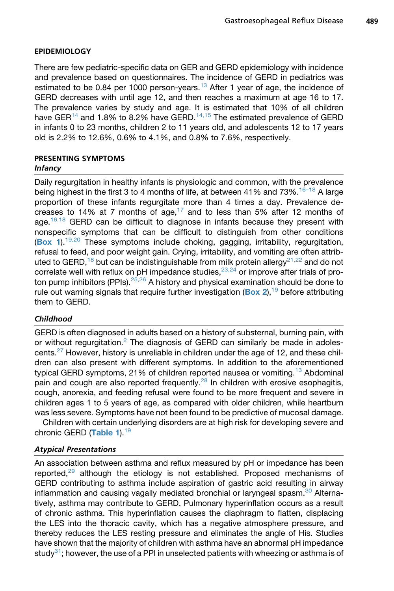### EPIDEMIOLOGY

There are few pediatric-specific data on GER and GERD epidemiology with incidence and prevalence based on questionnaires. The incidence of GERD in pediatrics was estimated to be 0.84 per 1000 person-years.<sup>[13](#page-12-0)</sup> After 1 year of age, the incidence of GERD decreases with until age 12, and then reaches a maximum at age 16 to 17. The prevalence varies by study and age. It is estimated that 10% of all children have GER<sup>[14](#page-13-0)</sup> and 1.8% to 8.2% have GERD.<sup>[14,15](#page-13-0)</sup> The estimated prevalence of GERD in infants 0 to 23 months, children 2 to 11 years old, and adolescents 12 to 17 years old is 2.2% to 12.6%, 0.6% to 4.1%, and 0.8% to 7.6%, respectively.

## PRESENTING SYMPTOMS Infancy

Daily regurgitation in healthy infants is physiologic and common, with the prevalence being highest in the first 3 to 4 months of life, at between 41% and 73%.<sup>16-18</sup> A large proportion of these infants regurgitate more than 4 times a day. Prevalence decreases to 14% at 7 months of age, $17$  and to less than 5% after 12 months of age.<sup>16,18</sup> GERD can be difficult to diagnose in infants because they present with nonspecific symptoms that can be difficult to distinguish from other conditions ([Box 1](#page-3-0)).<sup>[19,20](#page-13-0)</sup> These symptoms include choking, gagging, irritability, regurgitation, refusal to feed, and poor weight gain. Crying, irritability, and vomiting are often attrib-uted to GERD,<sup>[18](#page-13-0)</sup> but can be indistinguishable from milk protein allergy<sup>[21,22](#page-13-0)</sup> and do not correlate well with reflux on pH impedance studies, $23,24$  or improve after trials of proton pump inhibitors (PPIs). $25,26$  A history and physical examination should be done to rule out warning signals that require further investigation ([Box 2](#page-5-0)),<sup>[19](#page-13-0)</sup> before attributing them to GERD.

## Childhood

GERD is often diagnosed in adults based on a history of substernal, burning pain, with or without regurgitation.<sup>[2](#page-12-0)</sup> The diagnosis of GERD can similarly be made in adolescents.<sup>27</sup> However, history is unreliable in children under the age of 12, and these children can also present with different symptoms. In addition to the aforementioned typical GERD symptoms, 21% of children reported nausea or vomiting.<sup>[13](#page-12-0)</sup> Abdominal pain and cough are also reported frequently.<sup>[28](#page-13-0)</sup> In children with erosive esophagitis, cough, anorexia, and feeding refusal were found to be more frequent and severe in children ages 1 to 5 years of age, as compared with older children, while heartburn was less severe. Symptoms have not been found to be predictive of mucosal damage.

Children with certain underlying disorders are at high risk for developing severe and chronic GERD ([Table 1](#page-5-0)).<sup>[19](#page-13-0)</sup>

### Atypical Presentations

An association between asthma and reflux measured by pH or impedance has been reported, $29$  although the etiology is not established. Proposed mechanisms of GERD contributing to asthma include aspiration of gastric acid resulting in airway inflammation and causing vagally mediated bronchial or laryngeal spasm.<sup>[30](#page-13-0)</sup> Alternatively, asthma may contribute to GERD. Pulmonary hyperinflation occurs as a result of chronic asthma. This hyperinflation causes the diaphragm to flatten, displacing the LES into the thoracic cavity, which has a negative atmosphere pressure, and thereby reduces the LES resting pressure and eliminates the angle of His. Studies have shown that the majority of children with asthma have an abnormal pH impedance study<sup>[31](#page-13-0)</sup>; however, the use of a PPI in unselected patients with wheezing or asthma is of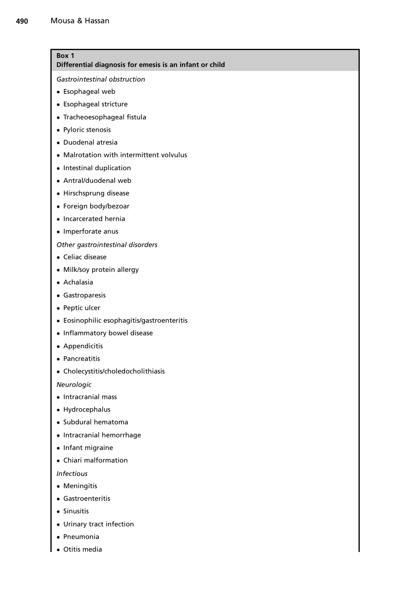## <span id="page-3-0"></span>Box 1

Differential diagnosis for emesis is an infant or child

Gastrointestinal obstruction

- Esophageal web
- Esophageal stricture
- Tracheoesophageal fistula
- Pyloric stenosis
- Duodenal atresia
- Malrotation with intermittent volvulus
- Intestinal duplication
- Antral/duodenal web
- Hirschsprung disease
- Foreign body/bezoar
- Incarcerated hernia
- Imperforate anus

Other gastrointestinal disorders

- Celiac disease
- Milk/soy protein allergy
- Achalasia
- Gastroparesis
- Peptic ulcer
- Eosinophilic esophagitis/gastroenteritis
- Inflammatory bowel disease
- **•** Appendicitis
- Pancreatitis
- Cholecystitis/choledocholithiasis

Neurologic

- Intracranial mass
- Hydrocephalus
- Subdural hematoma
- Intracranial hemorrhage
- Infant migraine
- Chiari malformation

Infectious

- Meningitis
- Gastroenteritis
- Sinusitis
- Urinary tract infection
- Pneumonia
- Otitis media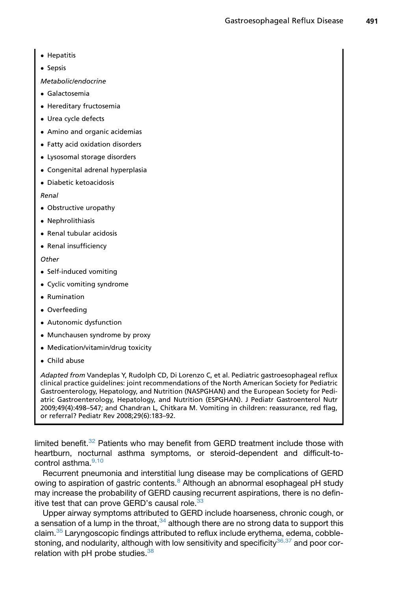#### • Hepatitis

- Sepsis
- Metabolic/endocrine
- Galactosemia
- Hereditary fructosemia
- Urea cycle defects
- Amino and organic acidemias
- Fatty acid oxidation disorders
- Lysosomal storage disorders
- Congenital adrenal hyperplasia
- Diabetic ketoacidosis

#### Renal

- Obstructive uropathy
- Nephrolithiasis
- Renal tubular acidosis
- Renal insufficiency

#### **Other**

- Self-induced vomiting
- Cyclic vomiting syndrome
- Rumination
- Overfeeding
- Autonomic dysfunction
- Munchausen syndrome by proxy
- Medication/vitamin/drug toxicity
- Child abuse

Adapted from Vandeplas Y, Rudolph CD, Di Lorenzo C, et al. Pediatric gastroesophageal reflux clinical practice guidelines: joint recommendations of the North American Society for Pediatric Gastroenterology, Hepatology, and Nutrition (NASPGHAN) and the European Society for Pediatric Gastroenterology, Hepatology, and Nutrition (ESPGHAN). J Pediatr Gastroenterol Nutr 2009;49(4):498–547; and Chandran L, Chitkara M. Vomiting in children: reassurance, red flag, or referral? Pediatr Rev 2008;29(6):183–92.

limited benefit. $32$  Patients who may benefit from GERD treatment include those with heartburn, nocturnal asthma symptoms, or steroid-dependent and difficult-to-control asthma.<sup>[9,10](#page-12-0)</sup>

Recurrent pneumonia and interstitial lung disease may be complications of GERD owing to aspiration of gastric contents.<sup>[8](#page-12-0)</sup> Although an abnormal esophageal pH study may increase the probability of GERD causing recurrent aspirations, there is no defin-itive test that can prove GERD's causal role.<sup>[33](#page-14-0)</sup>

Upper airway symptoms attributed to GERD include hoarseness, chronic cough, or a sensation of a lump in the throat,  $34$  although there are no strong data to support this claim.[35](#page-14-0) Laryngoscopic findings attributed to reflux include erythema, edema, cobble-stoning, and nodularity, although with low sensitivity and specificity<sup>[36,37](#page-14-0)</sup> and poor correlation with pH probe studies.<sup>38</sup>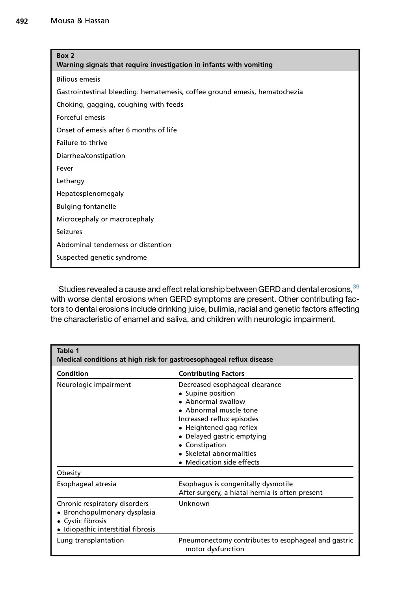<span id="page-5-0"></span>

| Box 2<br>Warning signals that require investigation in infants with vomiting |  |  |  |
|------------------------------------------------------------------------------|--|--|--|
| <b>Bilious emesis</b>                                                        |  |  |  |
| Gastrointestinal bleeding: hematemesis, coffee ground emesis, hematochezia   |  |  |  |
| Choking, gagging, coughing with feeds                                        |  |  |  |
| Forceful emesis                                                              |  |  |  |
| Onset of emesis after 6 months of life                                       |  |  |  |
| Failure to thrive                                                            |  |  |  |
| Diarrhea/constipation                                                        |  |  |  |
| Fever                                                                        |  |  |  |
| Lethargy                                                                     |  |  |  |
| Hepatosplenomegaly                                                           |  |  |  |
| <b>Bulging fontanelle</b>                                                    |  |  |  |
| Microcephaly or macrocephaly                                                 |  |  |  |
| Seizures                                                                     |  |  |  |
| Abdominal tenderness or distention                                           |  |  |  |
| Suspected genetic syndrome                                                   |  |  |  |

Studies revealed a cause and effect relationship between GERD and dental erosions, [39](#page-14-0) with worse dental erosions when GERD symptoms are present. Other contributing factors to dental erosions include drinking juice, bulimia, racial and genetic factors affecting the characteristic of enamel and saliva, and children with neurologic impairment.

| Table 1<br>Medical conditions at high risk for gastroesophageal reflux disease                                     |                                                                                                                                                                                                                                                                      |  |  |  |  |
|--------------------------------------------------------------------------------------------------------------------|----------------------------------------------------------------------------------------------------------------------------------------------------------------------------------------------------------------------------------------------------------------------|--|--|--|--|
| Condition                                                                                                          | <b>Contributing Factors</b>                                                                                                                                                                                                                                          |  |  |  |  |
| Neurologic impairment                                                                                              | Decreased esophageal clearance<br>• Supine position<br>• Abnormal swallow<br>• Abnormal muscle tone<br>Increased reflux episodes<br>• Heightened gag reflex<br>• Delayed gastric emptying<br>• Constipation<br>• Skeletal abnormalities<br>• Medication side effects |  |  |  |  |
| Obesity                                                                                                            |                                                                                                                                                                                                                                                                      |  |  |  |  |
| Esophageal atresia                                                                                                 | Esophagus is congenitally dysmotile<br>After surgery, a hiatal hernia is often present                                                                                                                                                                               |  |  |  |  |
| Chronic respiratory disorders<br>Bronchopulmonary dysplasia<br>Cystic fibrosis<br>Idiopathic interstitial fibrosis | Unknown                                                                                                                                                                                                                                                              |  |  |  |  |
| Lung transplantation                                                                                               | Pneumonectomy contributes to esophageal and gastric<br>motor dysfunction                                                                                                                                                                                             |  |  |  |  |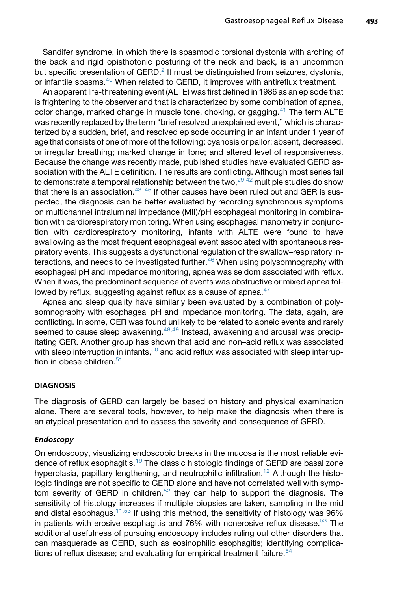Sandifer syndrome, in which there is spasmodic torsional dystonia with arching of the back and rigid opisthotonic posturing of the neck and back, is an uncommon but specific presentation of  $GERD<sup>2</sup>$  $GERD<sup>2</sup>$  $GERD<sup>2</sup>$  It must be distinguished from seizures, dystonia, or infantile spasms.<sup>40</sup> When related to GERD, it improves with antireflux treatment.

An apparent life-threatening event (ALTE) was first defined in 1986 as an episode that is frightening to the observer and that is characterized by some combination of apnea, color change, marked change in muscle tone, choking, or gagging.<sup>[41](#page-14-0)</sup> The term ALTE was recently replaced by the term "brief resolved unexplained event," which is characterized by a sudden, brief, and resolved episode occurring in an infant under 1 year of age that consists of one of more of the following: cyanosis or pallor; absent, decreased, or irregular breathing; marked change in tone; and altered level of responsiveness. Because the change was recently made, published studies have evaluated GERD association with the ALTE definition. The results are conflicting. Although most series fail to demonstrate a temporal relationship between the two,  $29,42$  multiple studies do show that there is an association.  $43-45$  If other causes have been ruled out and GER is suspected, the diagnosis can be better evaluated by recording synchronous symptoms on multichannel intraluminal impedance (MII)/pH esophageal monitoring in combination with cardiorespiratory monitoring. When using esophageal manometry in conjunction with cardiorespiratory monitoring, infants with ALTE were found to have swallowing as the most frequent esophageal event associated with spontaneous respiratory events. This suggests a dysfunctional regulation of the swallow–respiratory interactions, and needs to be investigated further. $46$  When using polysomnography with esophageal pH and impedance monitoring, apnea was seldom associated with reflux. When it was, the predominant sequence of events was obstructive or mixed apnea fol-lowed by reflux, suggesting against reflux as a cause of apnea.<sup>[47](#page-14-0)</sup>

Apnea and sleep quality have similarly been evaluated by a combination of polysomnography with esophageal pH and impedance monitoring. The data, again, are conflicting. In some, GER was found unlikely to be related to apneic events and rarely seemed to cause sleep awakening.<sup>[48,49](#page-14-0)</sup> Instead, awakening and arousal was precipitating GER. Another group has shown that acid and non–acid reflux was associated with sleep interruption in infants,<sup>[50](#page-15-0)</sup> and acid reflux was associated with sleep interruption in obese children. $51$ 

#### **DIAGNOSIS**

The diagnosis of GERD can largely be based on history and physical examination alone. There are several tools, however, to help make the diagnosis when there is an atypical presentation and to assess the severity and consequence of GERD.

#### Endoscopy

On endoscopy, visualizing endoscopic breaks in the mucosa is the most reliable evi-dence of reflux esophagitis.<sup>[19](#page-13-0)</sup> The classic histologic findings of GERD are basal zone hyperplasia, papillary lengthening, and neutrophilic infiltration.<sup>[12](#page-12-0)</sup> Although the histologic findings are not specific to GERD alone and have not correlated well with symp-tom severity of GERD in children,<sup>[52](#page-15-0)</sup> they can help to support the diagnosis. The sensitivity of histology increases if multiple biopsies are taken, sampling in the mid and distal esophagus.<sup>[11,53](#page-12-0)</sup> If using this method, the sensitivity of histology was  $96\%$ in patients with erosive esophagitis and 76% with nonerosive reflux disease.<sup>[53](#page-15-0)</sup> The additional usefulness of pursuing endoscopy includes ruling out other disorders that can masquerade as GERD, such as eosinophilic esophagitis; identifying complications of reflux disease; and evaluating for empirical treatment failure. $54$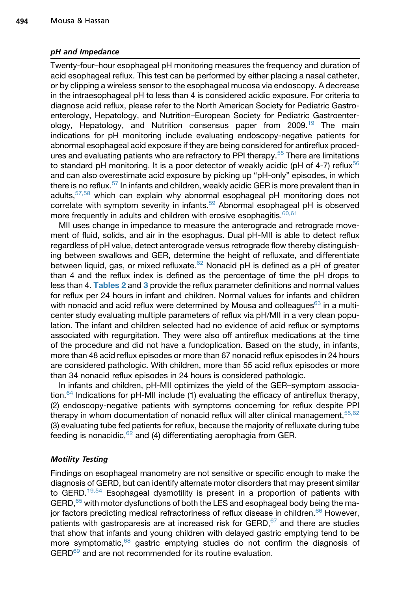#### pH and Impedance

Twenty-four–hour esophageal pH monitoring measures the frequency and duration of acid esophageal reflux. This test can be performed by either placing a nasal catheter, or by clipping a wireless sensor to the esophageal mucosa via endoscopy. A decrease in the intraesophageal pH to less than 4 is considered acidic exposure. For criteria to diagnose acid reflux, please refer to the North American Society for Pediatric Gastroenterology, Hepatology, and Nutrition–European Society for Pediatric Gastroenterology, Hepatology, and Nutrition consensus paper from 2009.<sup>19</sup> The main indications for pH monitoring include evaluating endoscopy-negative patients for abnormal esophageal acid exposure if they are being considered for antireflux proced-ures and evaluating patients who are refractory to PPI therapy.<sup>[55](#page-15-0)</sup> There are limitations to standard pH monitoring. It is a poor detector of weakly acidic (pH of 4-7) reflux<sup>[56](#page-15-0)</sup> and can also overestimate acid exposure by picking up "pH-only" episodes, in which there is no reflux.<sup>[57](#page-15-0)</sup> In infants and children, weakly acidic GER is more prevalent than in adults,  $57,58$  which can explain why abnormal esophageal pH monitoring does not correlate with symptom severity in infants.<sup>[59](#page-15-0)</sup> Abnormal esophageal pH is observed more frequently in adults and children with erosive esophagitis.  $60,61$ 

MII uses change in impedance to measure the anterograde and retrograde movement of fluid, solids, and air in the esophagus. Dual pH-MII is able to detect reflux regardless of pH value, detect anterograde versus retrograde flow thereby distinguishing between swallows and GER, determine the height of refluxate, and differentiate between liquid, gas, or mixed refluxate.<sup>[62](#page-15-0)</sup> Nonacid pH is defined as a pH of greater than 4 and the reflux index is defined as the percentage of time the pH drops to less than 4. [Tables 2](#page-8-0) and [3](#page-9-0) provide the reflux parameter definitions and normal values for reflux per 24 hours in infant and children. Normal values for infants and children with nonacid and acid reflux were determined by Mousa and colleagues $63$  in a multicenter study evaluating multiple parameters of reflux via pH/MII in a very clean population. The infant and children selected had no evidence of acid reflux or symptoms associated with regurgitation. They were also off antireflux medications at the time of the procedure and did not have a fundoplication. Based on the study, in infants, more than 48 acid reflux episodes or more than 67 nonacid reflux episodes in 24 hours are considered pathologic. With children, more than 55 acid reflux episodes or more than 34 nonacid reflux episodes in 24 hours is considered pathologic.

In infants and children, pH-MII optimizes the yield of the GER–symptom associa-tion.<sup>[64](#page-15-0)</sup> Indications for pH-MII include (1) evaluating the efficacy of antireflux therapy, (2) endoscopy-negative patients with symptoms concerning for reflux despite PPI therapy in whom documentation of nonacid reflux will alter clinical management,  $55,62$ (3) evaluating tube fed patients for reflux, because the majority of refluxate during tube feeding is nonacidic, $62$  and (4) differentiating aerophagia from GER.

## Motility Testing

Findings on esophageal manometry are not sensitive or specific enough to make the diagnosis of GERD, but can identify alternate motor disorders that may present similar to GERD.<sup>[19,54](#page-13-0)</sup> Esophageal dysmotility is present in a proportion of patients with GERD,<sup>[65](#page-15-0)</sup> with motor dysfunctions of both the LES and esophageal body being the ma-jor factors predicting medical refractoriness of reflux disease in children.<sup>[66](#page-15-0)</sup> However, patients with gastroparesis are at increased risk for  $GERD<sub>1</sub><sup>67</sup>$  and there are studies that show that infants and young children with delayed gastric emptying tend to be more symptomatic, $68$  gastric emptying studies do not confirm the diagnosis of GERD<sup>[69](#page-16-0)</sup> and are not recommended for its routine evaluation.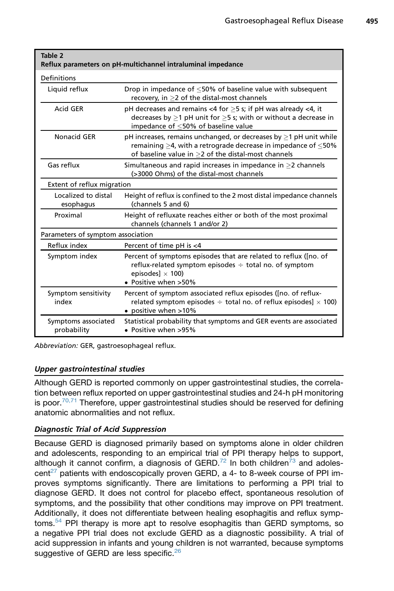<span id="page-8-0"></span>

| Table 2<br>Reflux parameters on pH-multichannel intraluminal impedance |                                                                                                                                                                                                                   |  |  |  |
|------------------------------------------------------------------------|-------------------------------------------------------------------------------------------------------------------------------------------------------------------------------------------------------------------|--|--|--|
| Definitions                                                            |                                                                                                                                                                                                                   |  |  |  |
| Liquid reflux                                                          | Drop in impedance of $\leq$ 50% of baseline value with subsequent<br>recovery, in $\geq$ 2 of the distal-most channels                                                                                            |  |  |  |
| Acid GFR                                                               | pH decreases and remains <4 for $\geq$ 5 s; if pH was already <4, it<br>decreases by $\geq$ 1 pH unit for $\geq$ 5 s; with or without a decrease in<br>impedance of $\leq$ 50% of baseline value                  |  |  |  |
| Nonacid GER                                                            | pH increases, remains unchanged, or decreases by $\geq$ 1 pH unit while<br>remaining $\geq$ 4, with a retrograde decrease in impedance of $\leq$ 50%<br>of baseline value in $\geq$ 2 of the distal-most channels |  |  |  |
| Gas reflux                                                             | Simultaneous and rapid increases in impedance in $>$ 2 channels<br>(>3000 Ohms) of the distal-most channels                                                                                                       |  |  |  |
| Extent of reflux migration                                             |                                                                                                                                                                                                                   |  |  |  |
| Localized to distal<br>esophagus                                       | Height of reflux is confined to the 2 most distal impedance channels<br>(channels 5 and 6)                                                                                                                        |  |  |  |
| Proximal                                                               | Height of refluxate reaches either or both of the most proximal<br>channels (channels 1 and/or 2)                                                                                                                 |  |  |  |
| Parameters of symptom association                                      |                                                                                                                                                                                                                   |  |  |  |
| Reflux index                                                           | Percent of time pH is <4                                                                                                                                                                                          |  |  |  |
| Symptom index                                                          | Percent of symptoms episodes that are related to reflux ([no. of<br>reflux-related symptom episodes $\div$ total no. of symptom<br>episodes $\vert \times 100 \rangle$<br>• Positive when >50%                    |  |  |  |
| Symptom sensitivity<br>index                                           | Percent of symptom associated reflux episodes ([no. of reflux-<br>related symptom episodes $\div$ total no. of reflux episodes] $\times$ 100)<br>• positive when >10%                                             |  |  |  |
| Symptoms associated<br>probability                                     | Statistical probability that symptoms and GER events are associated<br>• Positive when >95%                                                                                                                       |  |  |  |

Abbreviation: GER, gastroesophageal reflux.

## Upper gastrointestinal studies

Although GERD is reported commonly on upper gastrointestinal studies, the correlation between reflux reported on upper gastrointestinal studies and 24-h pH monitoring is poor. $70,71$  Therefore, upper gastrointestinal studies should be reserved for defining anatomic abnormalities and not reflux.

## Diagnostic Trial of Acid Suppression

Because GERD is diagnosed primarily based on symptoms alone in older children and adolescents, responding to an empirical trial of PPI therapy helps to support, although it cannot confirm, a diagnosis of  $GERD<sup>72</sup>$  $GERD<sup>72</sup>$  $GERD<sup>72</sup>$  In both children<sup>[73](#page-16-0)</sup> and adoles-cent<sup>[27](#page-13-0)</sup> patients with endoscopically proven GERD, a 4- to 8-week course of PPI improves symptoms significantly. There are limitations to performing a PPI trial to diagnose GERD. It does not control for placebo effect, spontaneous resolution of symptoms, and the possibility that other conditions may improve on PPI treatment. Additionally, it does not differentiate between healing esophagitis and reflux symptoms[.54](#page-15-0) PPI therapy is more apt to resolve esophagitis than GERD symptoms, so a negative PPI trial does not exclude GERD as a diagnostic possibility. A trial of acid suppression in infants and young children is not warranted, because symptoms suggestive of GERD are less specific.<sup>[26](#page-13-0)</sup>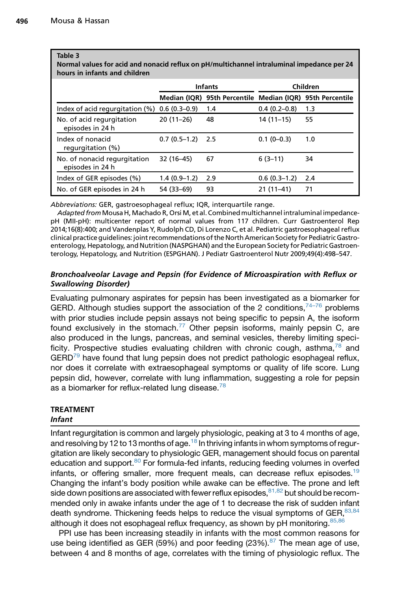#### <span id="page-9-0"></span>Table 3

Normal values for acid and nonacid reflux on pH/multichannel intraluminal impedance per 24 hours in infants and children

|                                                    | <b>Infants</b> |                                                           | Children       |     |
|----------------------------------------------------|----------------|-----------------------------------------------------------|----------------|-----|
|                                                    |                | Median (IQR) 95th Percentile Median (IQR) 95th Percentile |                |     |
| Index of acid regurgitation $(\%)$ 0.6 $(0.3-0.9)$ |                | 1.4                                                       | $0.4(0.2-0.8)$ | 1.3 |
| No. of acid regurgitation<br>episodes in 24 h      | $20(11-26)$    | 48                                                        | $14(11-15)$    | 55  |
| Index of nonacid<br>regurgitation (%)              | $0.7(0.5-1.2)$ | 2.5                                                       | $0.1(0-0.3)$   | 1.0 |
| No. of nonacid regurgitation<br>episodes in 24 h   | 32 (16-45)     | 67                                                        | $6(3-11)$      | 34  |
| Index of GER episodes (%)                          | $1.4(0.9-1.2)$ | 2.9                                                       | $0.6(0.3-1.2)$ | 2.4 |
| No. of GER episodes in 24 h                        | 54 (33-69)     | 93                                                        | $21(11-41)$    | 71  |

Abbreviations: GER, gastroesophageal reflux; IQR, interquartile range.

Adapted from Mousa H, Machado R, Orsi M, et al. Combined multichannel intraluminal impedancepH (MII-pH): multicenter report of normal values from 117 children. Curr Gastroenterol Rep 2014;16(8):400; and Vandenplas Y, Rudolph CD, Di Lorenzo C, et al. Pediatric gastroesophageal reflux clinical practice guidelines: joint recommendations of the North American Society for Pediatric Gastroenterology, Hepatology, and Nutrition (NASPGHAN) and the European Society for Pediatric Gastroenterology, Hepatology, and Nutrition (ESPGHAN). J Pediatr Gastroenterol Nutr 2009;49(4):498–547.

## Bronchoalveolar Lavage and Pepsin (for Evidence of Microaspiration with Reflux or Swallowing Disorder)

Evaluating pulmonary aspirates for pepsin has been investigated as a biomarker for GERD. Although studies support the association of the 2 conditions,  $74-76$  problems with prior studies include pepsin assays not being specific to pepsin A, the isoform found exclusively in the stomach.<sup>[77](#page-16-0)</sup> Other pepsin isoforms, mainly pepsin C, are also produced in the lungs, pancreas, and seminal vesicles, thereby limiting specificity. Prospective studies evaluating children with chronic cough, asthma, $^{78}$  $^{78}$  $^{78}$  and  $GERD<sup>79</sup>$  $GERD<sup>79</sup>$  $GERD<sup>79</sup>$  have found that lung pepsin does not predict pathologic esophageal reflux, nor does it correlate with extraesophageal symptoms or quality of life score. Lung pepsin did, however, correlate with lung inflammation, suggesting a role for pepsin as a biomarker for reflux-related lung disease. $^{78}$  $^{78}$  $^{78}$ 

## TREATMENT

## Infant

Infant regurgitation is common and largely physiologic, peaking at 3 to 4 months of age, and resolving by 12 to 13 months of age.<sup>18</sup> In thriving infants in whom symptoms of regurgitation are likely secondary to physiologic GER, management should focus on parental education and support.<sup>80</sup> For formula-fed infants, reducing feeding volumes in overfed infants, or offering smaller, more frequent meals, can decrease reflux episodes.<sup>[19](#page-13-0)</sup> Changing the infant's body position while awake can be effective. The prone and left side down positions are associated with fewer reflux episodes,  $81,82$  but should be recommended only in awake infants under the age of 1 to decrease the risk of sudden infant death syndrome. Thickening feeds helps to reduce the visual symptoms of GER,  $83,84$ although it does not esophageal reflux frequency, as shown by  $pH$  monitoring.<sup>[85,86](#page-17-0)</sup>

PPI use has been increasing steadily in infants with the most common reasons for use being identified as GER (59%) and poor feeding (23%). $87$  The mean age of use, between 4 and 8 months of age, correlates with the timing of physiologic reflux. The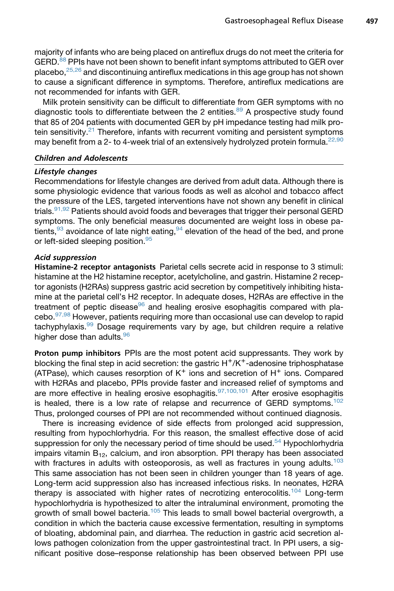majority of infants who are being placed on antireflux drugs do not meet the criteria for GERD.<sup>88</sup> PPIs have not been shown to benefit infant symptoms attributed to GER over placebo,[25,26](#page-13-0) and discontinuing antireflux medications in this age group has not shown to cause a significant difference in symptoms. Therefore, antireflux medications are not recommended for infants with GER.

Milk protein sensitivity can be difficult to differentiate from GER symptoms with no diagnostic tools to differentiate between the 2 entities. $89$  A prospective study found that 85 of 204 patients with documented GER by pH impedance testing had milk protein sensitivity. $21$  Therefore, infants with recurrent vomiting and persistent symptoms may benefit from a 2- to 4-week trial of an extensively hydrolyzed protein formula.  $22,90$ 

#### Children and Adolescents

#### Lifestyle changes

Recommendations for lifestyle changes are derived from adult data. Although there is some physiologic evidence that various foods as well as alcohol and tobacco affect the pressure of the LES, targeted interventions have not shown any benefit in clinical trials.<sup>91,92</sup> Patients should avoid foods and beverages that trigger their personal GERD symptoms. The only beneficial measures documented are weight loss in obese patients,  $93$  avoidance of late night eating,  $94$  elevation of the head of the bed, and prone or left-sided sleeping position.<sup>[95](#page-17-0)</sup>

## Acid suppression

Histamine-2 receptor antagonists Parietal cells secrete acid in response to 3 stimuli: histamine at the H2 histamine receptor, acetylcholine, and gastrin. Histamine 2 receptor agonists (H2RAs) suppress gastric acid secretion by competitively inhibiting histamine at the parietal cell's H2 receptor. In adequate doses, H2RAs are effective in the treatment of peptic disease<sup>96</sup> and healing erosive esophagitis compared with placebo.[97,98](#page-17-0) However, patients requiring more than occasional use can develop to rapid  $t$ achyphylaxis.<sup>[99](#page-17-0)</sup> Dosage requirements vary by age, but children require a relative higher dose than adults.<sup>[96](#page-17-0)</sup>

Proton pump inhibitors PPIs are the most potent acid suppressants. They work by blocking the final step in acid secretion: the gastric  $H^+/K^+$ -adenosine triphosphatase (ATPase), which causes resorption of  $K^+$  ions and secretion of  $H^+$  ions. Compared with H2RAs and placebo, PPIs provide faster and increased relief of symptoms and are more effective in healing erosive esophagitis.  $97,100,101$  After erosive esophagitis is healed, there is a low rate of relapse and recurrence of GERD symptoms.<sup>102</sup> Thus, prolonged courses of PPI are not recommended without continued diagnosis.

There is increasing evidence of side effects from prolonged acid suppression, resulting from hypochlorhydria. For this reason, the smallest effective dose of acid suppression for only the necessary period of time should be used.<sup>[54](#page-15-0)</sup> Hypochlorhydria impairs vitamin  $B_{12}$ , calcium, and iron absorption. PPI therapy has been associated with fractures in adults with osteoporosis, as well as fractures in young adults.<sup>[103](#page-18-0)</sup> This same association has not been seen in children younger than 18 years of age. Long-term acid suppression also has increased infectious risks. In neonates, H2RA therapy is associated with higher rates of necrotizing enterocolitis.<sup>[104](#page-18-0)</sup> Long-term hypochlorhydria is hypothesized to alter the intraluminal environment, promoting the growth of small bowel bacteria.<sup>[105](#page-18-0)</sup> This leads to small bowel bacterial overgrowth, a condition in which the bacteria cause excessive fermentation, resulting in symptoms of bloating, abdominal pain, and diarrhea. The reduction in gastric acid secretion allows pathogen colonization from the upper gastrointestinal tract. In PPI users, a significant positive dose–response relationship has been observed between PPI use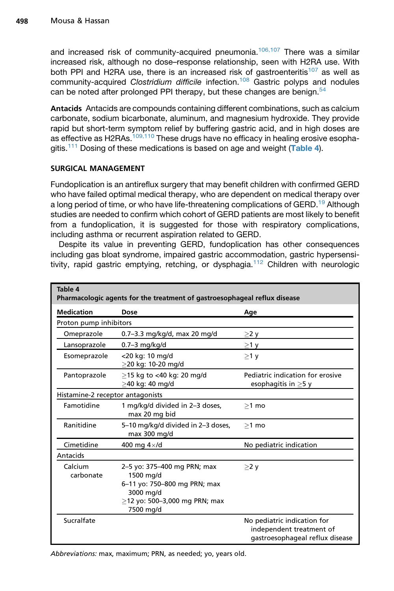and increased risk of community-acquired pneumonia.<sup>106,107</sup> There was a similar increased risk, although no dose–response relationship, seen with H2RA use. With both PPI and H2RA use, there is an increased risk of gastroenteritis<sup>[107](#page-18-0)</sup> as well as community-acquired *Clostridium difficile* infection.[108](#page-18-0) Gastric polyps and nodules can be noted after prolonged PPI therapy, but these changes are benign. $54$ 

Antacids Antacids are compounds containing different combinations, such as calcium carbonate, sodium bicarbonate, aluminum, and magnesium hydroxide. They provide rapid but short-term symptom relief by buffering gastric acid, and in high doses are as effective as H2RAs. $109,110$  These drugs have no efficacy in healing erosive esopha-gitis.<sup>[111](#page-18-0)</sup> Dosing of these medications is based on age and weight (Table 4).

## SURGICAL MANAGEMENT

Fundoplication is an antireflux surgery that may benefit children with confirmed GERD who have failed optimal medical therapy, who are dependent on medical therapy over a long period of time, or who have life-threatening complications of GERD.<sup>[19](#page-13-0)</sup> Although studies are needed to confirm which cohort of GERD patients are most likely to benefit from a fundoplication, it is suggested for those with respiratory complications, including asthma or recurrent aspiration related to GERD.

Despite its value in preventing GERD, fundoplication has other consequences including gas bloat syndrome, impaired gastric accommodation, gastric hypersensi-tivity, rapid gastric emptying, retching, or dysphagia.<sup>[112](#page-18-0)</sup> Children with neurologic

| Table 4<br>Pharmacologic agents for the treatment of gastroesophageal reflux disease |                                                                                                                                        |                                                                                            |  |  |  |
|--------------------------------------------------------------------------------------|----------------------------------------------------------------------------------------------------------------------------------------|--------------------------------------------------------------------------------------------|--|--|--|
| <b>Medication</b>                                                                    | Dose                                                                                                                                   | Age                                                                                        |  |  |  |
| Proton pump inhibitors                                                               |                                                                                                                                        |                                                                                            |  |  |  |
| Omeprazole                                                                           | 0.7-3.3 mg/kg/d, max 20 mg/d                                                                                                           | $\geq$ 2 y                                                                                 |  |  |  |
| Lansoprazole                                                                         | $0.7-3$ mg/kg/d                                                                                                                        | $\geq$ 1 y                                                                                 |  |  |  |
| Esomeprazole                                                                         | <20 kg: 10 mg/d<br>>20 kg: 10-20 mg/d                                                                                                  | $>1$ y                                                                                     |  |  |  |
| Pantoprazole                                                                         | >15 kg to <40 kg: 20 mg/d<br>>40 kg: 40 mg/d                                                                                           | Pediatric indication for erosive<br>esophagitis in $\geq$ 5 y                              |  |  |  |
| Histamine-2 receptor antagonists                                                     |                                                                                                                                        |                                                                                            |  |  |  |
| Famotidine                                                                           | 1 mg/kg/d divided in 2-3 doses,<br>max 20 mg bid                                                                                       | $>1$ mo                                                                                    |  |  |  |
| Ranitidine                                                                           | 5-10 mg/kg/d divided in 2-3 doses,<br>max 300 mg/d                                                                                     | $>1$ mo                                                                                    |  |  |  |
| Cimetidine                                                                           | 400 mg $4\times$ /d                                                                                                                    | No pediatric indication                                                                    |  |  |  |
| Antacids                                                                             |                                                                                                                                        |                                                                                            |  |  |  |
| Calcium<br>carbonate                                                                 | 2-5 yo: 375-400 mg PRN; max<br>1500 mg/d<br>6-11 yo: 750-800 mg PRN; max<br>3000 mg/d<br>$>$ 12 yo: 500-3,000 mg PRN; max<br>7500 mg/d | $>2$ y                                                                                     |  |  |  |
| Sucralfate                                                                           |                                                                                                                                        | No pediatric indication for<br>independent treatment of<br>gastroesophageal reflux disease |  |  |  |

Abbreviations: max, maximum; PRN, as needed; yo, years old.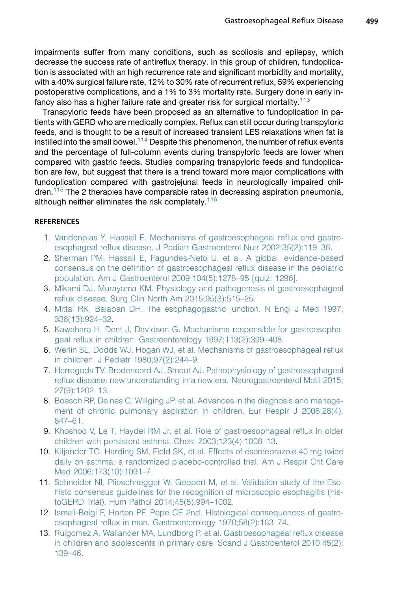<span id="page-12-0"></span>impairments suffer from many conditions, such as scoliosis and epilepsy, which decrease the success rate of antireflux therapy. In this group of children, fundoplication is associated with an high recurrence rate and significant morbidity and mortality, with a 40% surgical failure rate, 12% to 30% rate of recurrent reflux, 59% experiencing postoperative complications, and a 1% to 3% mortality rate. Surgery done in early in-fancy also has a higher failure rate and greater risk for surgical mortality.<sup>[113](#page-18-0)</sup>

Transpyloric feeds have been proposed as an alternative to fundoplication in patients with GERD who are medically complex. Reflux can still occur during transpyloric feeds, and is thought to be a result of increased transient LES relaxations when fat is instilled into the small bowel.<sup>[114](#page-18-0)</sup> Despite this phenomenon, the number of reflux events and the percentage of full-column events during transpyloric feeds are lower when compared with gastric feeds. Studies comparing transpyloric feeds and fundoplication are few, but suggest that there is a trend toward more major complications with fundoplication compared with gastrojejunal feeds in neurologically impaired chil-dren.<sup>[115](#page-18-0)</sup> The 2 therapies have comparable rates in decreasing aspiration pneumonia, although neither eliminates the risk completely.  $116$ 

## **REFERENCES**

- 1. [Vandenplas Y, Hassall E. Mechanisms of gastroesophageal reflux and gastro](http://refhub.elsevier.com/S0031-3955(17)30003-2/sref1)[esophageal reflux disease. J Pediatr Gastroenterol Nutr 2002;35\(2\):119–36](http://refhub.elsevier.com/S0031-3955(17)30003-2/sref1).
- 2. [Sherman PM, Hassall E, Fagundes-Neto U, et al. A global, evidence-based](http://refhub.elsevier.com/S0031-3955(17)30003-2/sref2) [consensus on the definition of gastroesophageal reflux disease in the pediatric](http://refhub.elsevier.com/S0031-3955(17)30003-2/sref2) [population. Am J Gastroenterol 2009;104\(5\):1278–95 \[quiz: 1296\]](http://refhub.elsevier.com/S0031-3955(17)30003-2/sref2).
- 3. [Mikami DJ, Murayama KM. Physiology and pathogenesis of gastroesophageal](http://refhub.elsevier.com/S0031-3955(17)30003-2/sref3) [reflux disease. Surg Clin North Am 2015;95\(3\):515–25.](http://refhub.elsevier.com/S0031-3955(17)30003-2/sref3)
- 4. [Mittal RK, Balaban DH. The esophagogastric junction. N Engl J Med 1997;](http://refhub.elsevier.com/S0031-3955(17)30003-2/sref4) [336\(13\):924–32](http://refhub.elsevier.com/S0031-3955(17)30003-2/sref4).
- 5. [Kawahara H, Dent J, Davidson G. Mechanisms responsible for gastroesopha](http://refhub.elsevier.com/S0031-3955(17)30003-2/sref5)[geal reflux in children. Gastroenterology 1997;113\(2\):399–408](http://refhub.elsevier.com/S0031-3955(17)30003-2/sref5).
- 6. [Werlin SL, Dodds WJ, Hogan WJ, et al. Mechanisms of gastroesophageal reflux](http://refhub.elsevier.com/S0031-3955(17)30003-2/sref6) [in children. J Pediatr 1980;97\(2\):244–9](http://refhub.elsevier.com/S0031-3955(17)30003-2/sref6).
- 7. [Herregods TV, Bredenoord AJ, Smout AJ. Pathophysiology of gastroesophageal](http://refhub.elsevier.com/S0031-3955(17)30003-2/sref7) [reflux disease: new understanding in a new era. Neurogastroenterol Motil 2015;](http://refhub.elsevier.com/S0031-3955(17)30003-2/sref7) [27\(9\):1202–13](http://refhub.elsevier.com/S0031-3955(17)30003-2/sref7).
- 8. [Boesch RP, Daines C, Willging JP, et al. Advances in the diagnosis and manage](http://refhub.elsevier.com/S0031-3955(17)30003-2/sref8)[ment of chronic pulmonary aspiration in children. Eur Respir J 2006;28\(4\):](http://refhub.elsevier.com/S0031-3955(17)30003-2/sref8) [847–61.](http://refhub.elsevier.com/S0031-3955(17)30003-2/sref8)
- 9. [Khoshoo V, Le T, Haydel RM Jr, et al. Role of gastroesophageal reflux in older](http://refhub.elsevier.com/S0031-3955(17)30003-2/sref9) [children with persistent asthma. Chest 2003;123\(4\):1008–13.](http://refhub.elsevier.com/S0031-3955(17)30003-2/sref9)
- 10. [Kiljander TO, Harding SM, Field SK, et al. Effects of esomeprazole 40 mg twice](http://refhub.elsevier.com/S0031-3955(17)30003-2/sref10) [daily on asthma: a randomized placebo-controlled trial. Am J Respir Crit Care](http://refhub.elsevier.com/S0031-3955(17)30003-2/sref10) [Med 2006;173\(10\):1091–7](http://refhub.elsevier.com/S0031-3955(17)30003-2/sref10).
- 11. [Schneider NI, Plieschnegger W, Geppert M, et al. Validation study of the Eso](http://refhub.elsevier.com/S0031-3955(17)30003-2/sref11)[histo consensus guidelines for the recognition of microscopic esophagitis \(his](http://refhub.elsevier.com/S0031-3955(17)30003-2/sref11)[toGERD Trial\). Hum Pathol 2014;45\(5\):994–1002](http://refhub.elsevier.com/S0031-3955(17)30003-2/sref11).
- 12. [Ismail-Beigi F, Horton PF, Pope CE 2nd. Histological consequences of gastro](http://refhub.elsevier.com/S0031-3955(17)30003-2/sref12)[esophageal reflux in man. Gastroenterology 1970;58\(2\):163–74](http://refhub.elsevier.com/S0031-3955(17)30003-2/sref12).
- 13. [Ruigomez A, Wallander MA, Lundborg P, et al. Gastroesophageal reflux disease](http://refhub.elsevier.com/S0031-3955(17)30003-2/sref13) [in children and adolescents in primary care. Scand J Gastroenterol 2010;45\(2\):](http://refhub.elsevier.com/S0031-3955(17)30003-2/sref13) [139–46.](http://refhub.elsevier.com/S0031-3955(17)30003-2/sref13)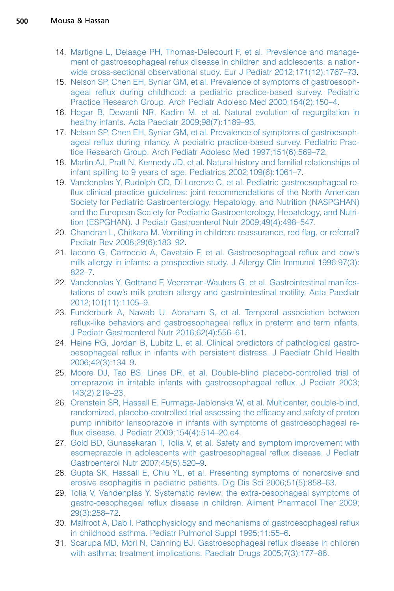- <span id="page-13-0"></span>14. [Martigne L, Delaage PH, Thomas-Delecourt F, et al. Prevalence and manage](http://refhub.elsevier.com/S0031-3955(17)30003-2/sref14)[ment of gastroesophageal reflux disease in children and adolescents: a nation](http://refhub.elsevier.com/S0031-3955(17)30003-2/sref14)[wide cross-sectional observational study. Eur J Pediatr 2012;171\(12\):1767–73.](http://refhub.elsevier.com/S0031-3955(17)30003-2/sref14)
- 15. [Nelson SP, Chen EH, Syniar GM, et al. Prevalence of symptoms of gastroesoph](http://refhub.elsevier.com/S0031-3955(17)30003-2/sref15)[ageal reflux during childhood: a pediatric practice-based survey. Pediatric](http://refhub.elsevier.com/S0031-3955(17)30003-2/sref15) [Practice Research Group. Arch Pediatr Adolesc Med 2000;154\(2\):150–4.](http://refhub.elsevier.com/S0031-3955(17)30003-2/sref15)
- 16. [Hegar B, Dewanti NR, Kadim M, et al. Natural evolution of regurgitation in](http://refhub.elsevier.com/S0031-3955(17)30003-2/sref16) [healthy infants. Acta Paediatr 2009;98\(7\):1189–93](http://refhub.elsevier.com/S0031-3955(17)30003-2/sref16).
- 17. [Nelson SP, Chen EH, Syniar GM, et al. Prevalence of symptoms of gastroesoph](http://refhub.elsevier.com/S0031-3955(17)30003-2/sref17)[ageal reflux during infancy. A pediatric practice-based survey. Pediatric Prac](http://refhub.elsevier.com/S0031-3955(17)30003-2/sref17)[tice Research Group. Arch Pediatr Adolesc Med 1997;151\(6\):569–72](http://refhub.elsevier.com/S0031-3955(17)30003-2/sref17).
- 18. [Martin AJ, Pratt N, Kennedy JD, et al. Natural history and familial relationships of](http://refhub.elsevier.com/S0031-3955(17)30003-2/sref18) [infant spilling to 9 years of age. Pediatrics 2002;109\(6\):1061–7.](http://refhub.elsevier.com/S0031-3955(17)30003-2/sref18)
- 19. [Vandenplas Y, Rudolph CD, Di Lorenzo C, et al. Pediatric gastroesophageal re](http://refhub.elsevier.com/S0031-3955(17)30003-2/sref19)[flux clinical practice guidelines: joint recommendations of the North American](http://refhub.elsevier.com/S0031-3955(17)30003-2/sref19) [Society for Pediatric Gastroenterology, Hepatology, and Nutrition \(NASPGHAN\)](http://refhub.elsevier.com/S0031-3955(17)30003-2/sref19) [and the European Society for Pediatric Gastroenterology, Hepatology, and Nutri](http://refhub.elsevier.com/S0031-3955(17)30003-2/sref19)[tion \(ESPGHAN\). J Pediatr Gastroenterol Nutr 2009;49\(4\):498–547](http://refhub.elsevier.com/S0031-3955(17)30003-2/sref19).
- 20. [Chandran L, Chitkara M. Vomiting in children: reassurance, red flag, or referral?](http://refhub.elsevier.com/S0031-3955(17)30003-2/sref20) [Pediatr Rev 2008;29\(6\):183–92](http://refhub.elsevier.com/S0031-3955(17)30003-2/sref20).
- 21. [Iacono G, Carroccio A, Cavataio F, et al. Gastroesophageal reflux and cow's](http://refhub.elsevier.com/S0031-3955(17)30003-2/sref21) [milk allergy in infants: a prospective study. J Allergy Clin Immunol 1996;97\(3\):](http://refhub.elsevier.com/S0031-3955(17)30003-2/sref21) [822–7.](http://refhub.elsevier.com/S0031-3955(17)30003-2/sref21)
- 22. [Vandenplas Y, Gottrand F, Veereman-Wauters G, et al. Gastrointestinal manifes](http://refhub.elsevier.com/S0031-3955(17)30003-2/sref22)[tations of cow's milk protein allergy and gastrointestinal motility. Acta Paediatr](http://refhub.elsevier.com/S0031-3955(17)30003-2/sref22) [2012;101\(11\):1105–9](http://refhub.elsevier.com/S0031-3955(17)30003-2/sref22).
- 23. [Funderburk A, Nawab U, Abraham S, et al. Temporal association between](http://refhub.elsevier.com/S0031-3955(17)30003-2/sref23) [reflux-like behaviors and gastroesophageal reflux in preterm and term infants.](http://refhub.elsevier.com/S0031-3955(17)30003-2/sref23) [J Pediatr Gastroenterol Nutr 2016;62\(4\):556–61.](http://refhub.elsevier.com/S0031-3955(17)30003-2/sref23)
- 24. [Heine RG, Jordan B, Lubitz L, et al. Clinical predictors of pathological gastro](http://refhub.elsevier.com/S0031-3955(17)30003-2/sref24)[oesophageal reflux in infants with persistent distress. J Paediatr Child Health](http://refhub.elsevier.com/S0031-3955(17)30003-2/sref24) [2006;42\(3\):134–9](http://refhub.elsevier.com/S0031-3955(17)30003-2/sref24).
- 25. [Moore DJ, Tao BS, Lines DR, et al. Double-blind placebo-controlled trial of](http://refhub.elsevier.com/S0031-3955(17)30003-2/sref25) [omeprazole in irritable infants with gastroesophageal reflux. J Pediatr 2003;](http://refhub.elsevier.com/S0031-3955(17)30003-2/sref25) [143\(2\):219–23.](http://refhub.elsevier.com/S0031-3955(17)30003-2/sref25)
- 26. [Orenstein SR, Hassall E, Furmaga-Jablonska W, et al. Multicenter, double-blind,](http://refhub.elsevier.com/S0031-3955(17)30003-2/sref26) [randomized, placebo-controlled trial assessing the efficacy and safety of proton](http://refhub.elsevier.com/S0031-3955(17)30003-2/sref26) [pump inhibitor lansoprazole in infants with symptoms of gastroesophageal re](http://refhub.elsevier.com/S0031-3955(17)30003-2/sref26)[flux disease. J Pediatr 2009;154\(4\):514–20.e4](http://refhub.elsevier.com/S0031-3955(17)30003-2/sref26).
- 27. [Gold BD, Gunasekaran T, Tolia V, et al. Safety and symptom improvement with](http://refhub.elsevier.com/S0031-3955(17)30003-2/sref27) [esomeprazole in adolescents with gastroesophageal reflux disease. J Pediatr](http://refhub.elsevier.com/S0031-3955(17)30003-2/sref27) [Gastroenterol Nutr 2007;45\(5\):520–9](http://refhub.elsevier.com/S0031-3955(17)30003-2/sref27).
- 28. [Gupta SK, Hassall E, Chiu YL, et al. Presenting symptoms of nonerosive and](http://refhub.elsevier.com/S0031-3955(17)30003-2/sref28) [erosive esophagitis in pediatric patients. Dig Dis Sci 2006;51\(5\):858–63.](http://refhub.elsevier.com/S0031-3955(17)30003-2/sref28)
- 29. [Tolia V, Vandenplas Y. Systematic review: the extra-oesophageal symptoms of](http://refhub.elsevier.com/S0031-3955(17)30003-2/sref29) [gastro-oesophageal reflux disease in children. Aliment Pharmacol Ther 2009;](http://refhub.elsevier.com/S0031-3955(17)30003-2/sref29) [29\(3\):258–72.](http://refhub.elsevier.com/S0031-3955(17)30003-2/sref29)
- 30. [Malfroot A, Dab I. Pathophysiology and mechanisms of gastroesophageal reflux](http://refhub.elsevier.com/S0031-3955(17)30003-2/sref30) [in childhood asthma. Pediatr Pulmonol Suppl 1995;11:55–6](http://refhub.elsevier.com/S0031-3955(17)30003-2/sref30).
- 31. [Scarupa MD, Mori N, Canning BJ. Gastroesophageal reflux disease in children](http://refhub.elsevier.com/S0031-3955(17)30003-2/sref31) [with asthma: treatment implications. Paediatr Drugs 2005;7\(3\):177–86](http://refhub.elsevier.com/S0031-3955(17)30003-2/sref31).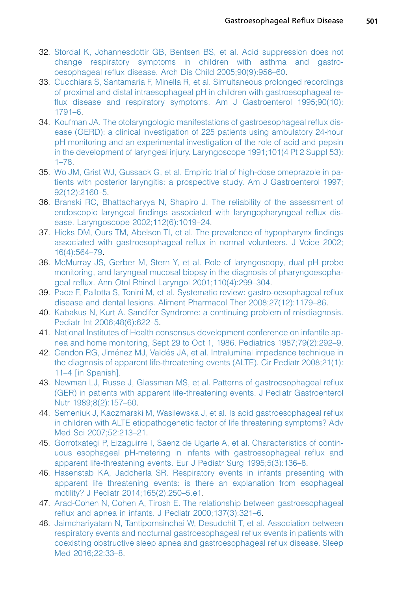- <span id="page-14-0"></span>32. [Stordal K, Johannesdottir GB, Bentsen BS, et al. Acid suppression does not](http://refhub.elsevier.com/S0031-3955(17)30003-2/sref32) [change respiratory symptoms in children with asthma and gastro](http://refhub.elsevier.com/S0031-3955(17)30003-2/sref32)[oesophageal reflux disease. Arch Dis Child 2005;90\(9\):956–60.](http://refhub.elsevier.com/S0031-3955(17)30003-2/sref32)
- 33. [Cucchiara S, Santamaria F, Minella R, et al. Simultaneous prolonged recordings](http://refhub.elsevier.com/S0031-3955(17)30003-2/sref33) [of proximal and distal intraesophageal pH in children with gastroesophageal re](http://refhub.elsevier.com/S0031-3955(17)30003-2/sref33)[flux disease and respiratory symptoms. Am J Gastroenterol 1995;90\(10\):](http://refhub.elsevier.com/S0031-3955(17)30003-2/sref33) [1791–6.](http://refhub.elsevier.com/S0031-3955(17)30003-2/sref33)
- 34. [Koufman JA. The otolaryngologic manifestations of gastroesophageal reflux dis](http://refhub.elsevier.com/S0031-3955(17)30003-2/sref34)[ease \(GERD\): a clinical investigation of 225 patients using ambulatory 24-hour](http://refhub.elsevier.com/S0031-3955(17)30003-2/sref34) [pH monitoring and an experimental investigation of the role of acid and pepsin](http://refhub.elsevier.com/S0031-3955(17)30003-2/sref34) [in the development of laryngeal injury. Laryngoscope 1991;101\(4 Pt 2 Suppl 53\):](http://refhub.elsevier.com/S0031-3955(17)30003-2/sref34) [1–78](http://refhub.elsevier.com/S0031-3955(17)30003-2/sref34).
- 35. [Wo JM, Grist WJ, Gussack G, et al. Empiric trial of high-dose omeprazole in pa](http://refhub.elsevier.com/S0031-3955(17)30003-2/sref35)[tients with posterior laryngitis: a prospective study. Am J Gastroenterol 1997;](http://refhub.elsevier.com/S0031-3955(17)30003-2/sref35) [92\(12\):2160–5](http://refhub.elsevier.com/S0031-3955(17)30003-2/sref35).
- 36. [Branski RC, Bhattacharyya N, Shapiro J. The reliability of the assessment of](http://refhub.elsevier.com/S0031-3955(17)30003-2/sref36) [endoscopic laryngeal findings associated with laryngopharyngeal reflux dis](http://refhub.elsevier.com/S0031-3955(17)30003-2/sref36)[ease. Laryngoscope 2002;112\(6\):1019–24](http://refhub.elsevier.com/S0031-3955(17)30003-2/sref36).
- 37. [Hicks DM, Ours TM, Abelson TI, et al. The prevalence of hypopharynx findings](http://refhub.elsevier.com/S0031-3955(17)30003-2/sref37) [associated with gastroesophageal reflux in normal volunteers. J Voice 2002;](http://refhub.elsevier.com/S0031-3955(17)30003-2/sref37) [16\(4\):564–79](http://refhub.elsevier.com/S0031-3955(17)30003-2/sref37).
- 38. [McMurray JS, Gerber M, Stern Y, et al. Role of laryngoscopy, dual pH probe](http://refhub.elsevier.com/S0031-3955(17)30003-2/sref38) [monitoring, and laryngeal mucosal biopsy in the diagnosis of pharyngoesopha](http://refhub.elsevier.com/S0031-3955(17)30003-2/sref38)[geal reflux. Ann Otol Rhinol Laryngol 2001;110\(4\):299–304.](http://refhub.elsevier.com/S0031-3955(17)30003-2/sref38)
- 39. [Pace F, Pallotta S, Tonini M, et al. Systematic review: gastro-oesophageal reflux](http://refhub.elsevier.com/S0031-3955(17)30003-2/sref39) [disease and dental lesions. Aliment Pharmacol Ther 2008;27\(12\):1179–86.](http://refhub.elsevier.com/S0031-3955(17)30003-2/sref39)
- 40. [Kabakus N, Kurt A. Sandifer Syndrome: a continuing problem of misdiagnosis.](http://refhub.elsevier.com/S0031-3955(17)30003-2/sref40) [Pediatr Int 2006;48\(6\):622–5](http://refhub.elsevier.com/S0031-3955(17)30003-2/sref40).
- 41. [National Institutes of Health consensus development conference on infantile ap](http://refhub.elsevier.com/S0031-3955(17)30003-2/sref41)[nea and home monitoring, Sept 29 to Oct 1, 1986. Pediatrics 1987;79\(2\):292–9](http://refhub.elsevier.com/S0031-3955(17)30003-2/sref41).
- 42. Cendon RG, Jiménez MJ, Valdés JA, et al. Intraluminal impedance technique in [the diagnosis of apparent life-threatening events \(ALTE\). Cir Pediatr 2008;21\(1\):](http://refhub.elsevier.com/S0031-3955(17)30003-2/sref42) [11–4 \[in Spanish\]](http://refhub.elsevier.com/S0031-3955(17)30003-2/sref42).
- 43. [Newman LJ, Russe J, Glassman MS, et al. Patterns of gastroesophageal reflux](http://refhub.elsevier.com/S0031-3955(17)30003-2/sref43) [\(GER\) in patients with apparent life-threatening events. J Pediatr Gastroenterol](http://refhub.elsevier.com/S0031-3955(17)30003-2/sref43) [Nutr 1989;8\(2\):157–60.](http://refhub.elsevier.com/S0031-3955(17)30003-2/sref43)
- 44. [Semeniuk J, Kaczmarski M, Wasilewska J, et al. Is acid gastroesophageal reflux](http://refhub.elsevier.com/S0031-3955(17)30003-2/sref44) [in children with ALTE etiopathogenetic factor of life threatening symptoms? Adv](http://refhub.elsevier.com/S0031-3955(17)30003-2/sref44) [Med Sci 2007;52:213–21.](http://refhub.elsevier.com/S0031-3955(17)30003-2/sref44)
- 45. [Gorrotxategi P, Eizaguirre I, Saenz de Ugarte A, et al. Characteristics of contin](http://refhub.elsevier.com/S0031-3955(17)30003-2/sref45)[uous esophageal pH-metering in infants with gastroesophageal reflux and](http://refhub.elsevier.com/S0031-3955(17)30003-2/sref45) [apparent life-threatening events. Eur J Pediatr Surg 1995;5\(3\):136–8.](http://refhub.elsevier.com/S0031-3955(17)30003-2/sref45)
- 46. [Hasenstab KA, Jadcherla SR. Respiratory events in infants presenting with](http://refhub.elsevier.com/S0031-3955(17)30003-2/sref46) [apparent life threatening events: is there an explanation from esophageal](http://refhub.elsevier.com/S0031-3955(17)30003-2/sref46) [motility? J Pediatr 2014;165\(2\):250–5.e1](http://refhub.elsevier.com/S0031-3955(17)30003-2/sref46).
- 47. [Arad-Cohen N, Cohen A, Tirosh E. The relationship between gastroesophageal](http://refhub.elsevier.com/S0031-3955(17)30003-2/sref47) [reflux and apnea in infants. J Pediatr 2000;137\(3\):321–6.](http://refhub.elsevier.com/S0031-3955(17)30003-2/sref47)
- 48. [Jaimchariyatam N, Tantipornsinchai W, Desudchit T, et al. Association between](http://refhub.elsevier.com/S0031-3955(17)30003-2/sref48) [respiratory events and nocturnal gastroesophageal reflux events in patients with](http://refhub.elsevier.com/S0031-3955(17)30003-2/sref48) [coexisting obstructive sleep apnea and gastroesophageal reflux disease. Sleep](http://refhub.elsevier.com/S0031-3955(17)30003-2/sref48) [Med 2016;22:33–8.](http://refhub.elsevier.com/S0031-3955(17)30003-2/sref48)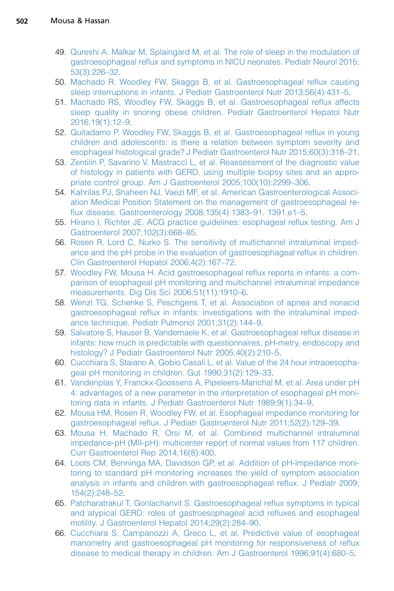- <span id="page-15-0"></span>49. [Qureshi A, Malkar M, Splaingard M, et al. The role of sleep in the modulation of](http://refhub.elsevier.com/S0031-3955(17)30003-2/sref49) [gastroesophageal reflux and symptoms in NICU neonates. Pediatr Neurol 2015;](http://refhub.elsevier.com/S0031-3955(17)30003-2/sref49) [53\(3\):226–32.](http://refhub.elsevier.com/S0031-3955(17)30003-2/sref49)
- 50. [Machado R, Woodley FW, Skaggs B, et al. Gastroesophageal reflux causing](http://refhub.elsevier.com/S0031-3955(17)30003-2/sref50) [sleep interruptions in infants. J Pediatr Gastroenterol Nutr 2013;56\(4\):431–5](http://refhub.elsevier.com/S0031-3955(17)30003-2/sref50).
- 51. [Machado RS, Woodley FW, Skaggs B, et al. Gastroesophageal reflux affects](http://refhub.elsevier.com/S0031-3955(17)30003-2/sref51) [sleep quality in snoring obese children. Pediatr Gastroenterol Hepatol Nutr](http://refhub.elsevier.com/S0031-3955(17)30003-2/sref51) [2016;19\(1\):12–9](http://refhub.elsevier.com/S0031-3955(17)30003-2/sref51).
- 52. [Quitadamo P, Woodley FW, Skaggs B, et al. Gastroesophageal reflux in young](http://refhub.elsevier.com/S0031-3955(17)30003-2/sref52) [children and adolescents: is there a relation between symptom severity and](http://refhub.elsevier.com/S0031-3955(17)30003-2/sref52) [esophageal histological grade? J Pediatr Gastroenterol Nutr 2015;60\(3\):318–21.](http://refhub.elsevier.com/S0031-3955(17)30003-2/sref52)
- 53. [Zentilin P, Savarino V, Mastracci L, et al. Reassessment of the diagnostic value](http://refhub.elsevier.com/S0031-3955(17)30003-2/sref53) [of histology in patients with GERD, using multiple biopsy sites and an appro](http://refhub.elsevier.com/S0031-3955(17)30003-2/sref53)[priate control group. Am J Gastroenterol 2005;100\(10\):2299–306](http://refhub.elsevier.com/S0031-3955(17)30003-2/sref53).
- 54. [Kahrilas PJ, Shaheen NJ, Vaezi MF, et al. American Gastroenterological Associ](http://refhub.elsevier.com/S0031-3955(17)30003-2/sref54)[ation Medical Position Statement on the management of gastroesophageal re](http://refhub.elsevier.com/S0031-3955(17)30003-2/sref54)[flux disease. Gastroenterology 2008;135\(4\):1383–91, 1391.e1–5.](http://refhub.elsevier.com/S0031-3955(17)30003-2/sref54)
- 55. [Hirano I, Richter JE. ACG practice guidelines: esophageal reflux testing. Am J](http://refhub.elsevier.com/S0031-3955(17)30003-2/sref55) [Gastroenterol 2007;102\(3\):668–85](http://refhub.elsevier.com/S0031-3955(17)30003-2/sref55).
- 56. [Rosen R, Lord C, Nurko S. The sensitivity of multichannel intraluminal imped](http://refhub.elsevier.com/S0031-3955(17)30003-2/sref56)[ance and the pH probe in the evaluation of gastroesophageal reflux in children.](http://refhub.elsevier.com/S0031-3955(17)30003-2/sref56) [Clin Gastroenterol Hepatol 2006;4\(2\):167–72.](http://refhub.elsevier.com/S0031-3955(17)30003-2/sref56)
- 57. [Woodley FW, Mousa H. Acid gastroesophageal reflux reports in infants: a com](http://refhub.elsevier.com/S0031-3955(17)30003-2/sref57)[parison of esophageal pH monitoring and multichannel intraluminal impedance](http://refhub.elsevier.com/S0031-3955(17)30003-2/sref57) [measurements. Dig Dis Sci 2006;51\(11\):1910–6.](http://refhub.elsevier.com/S0031-3955(17)30003-2/sref57)
- 58. [Wenzl TG, Schenke S, Peschgens T, et al. Association of apnea and nonacid](http://refhub.elsevier.com/S0031-3955(17)30003-2/sref58) [gastroesophageal reflux in infants: investigations with the intraluminal imped](http://refhub.elsevier.com/S0031-3955(17)30003-2/sref58)[ance technique. Pediatr Pulmonol 2001;31\(2\):144–9](http://refhub.elsevier.com/S0031-3955(17)30003-2/sref58).
- 59. [Salvatore S, Hauser B, Vandemaele K, et al. Gastroesophageal reflux disease in](http://refhub.elsevier.com/S0031-3955(17)30003-2/sref59) [infants: how much is predictable with questionnaires, pH-metry, endoscopy and](http://refhub.elsevier.com/S0031-3955(17)30003-2/sref59) [histology? J Pediatr Gastroenterol Nutr 2005;40\(2\):210–5](http://refhub.elsevier.com/S0031-3955(17)30003-2/sref59).
- 60. [Cucchiara S, Staiano A, Gobio Casali L, et al. Value of the 24 hour intraoesopha](http://refhub.elsevier.com/S0031-3955(17)30003-2/sref60)[geal pH monitoring in children. Gut 1990;31\(2\):129–33.](http://refhub.elsevier.com/S0031-3955(17)30003-2/sref60)
- 61. [Vandenplas Y, Franckx-Goossens A, Pipeleers-Marichal M, et al. Area under pH](http://refhub.elsevier.com/S0031-3955(17)30003-2/sref61) [4: advantages of a new parameter in the interpretation of esophageal pH moni](http://refhub.elsevier.com/S0031-3955(17)30003-2/sref61)[toring data in infants. J Pediatr Gastroenterol Nutr 1989;9\(1\):34–9.](http://refhub.elsevier.com/S0031-3955(17)30003-2/sref61)
- 62. [Mousa HM, Rosen R, Woodley FW, et al. Esophageal impedance monitoring for](http://refhub.elsevier.com/S0031-3955(17)30003-2/sref62) [gastroesophageal reflux. J Pediatr Gastroenterol Nutr 2011;52\(2\):129–39.](http://refhub.elsevier.com/S0031-3955(17)30003-2/sref62)
- 63. [Mousa H, Machado R, Orsi M, et al. Combined multichannel intraluminal](http://refhub.elsevier.com/S0031-3955(17)30003-2/sref63) [impedance-pH \(MII-pH\): multicenter report of normal values from 117 children.](http://refhub.elsevier.com/S0031-3955(17)30003-2/sref63) [Curr Gastroenterol Rep 2014;16\(8\):400.](http://refhub.elsevier.com/S0031-3955(17)30003-2/sref63)
- 64. [Loots CM, Benninga MA, Davidson GP, et al. Addition of pH-impedance moni](http://refhub.elsevier.com/S0031-3955(17)30003-2/sref64)[toring to standard pH monitoring increases the yield of symptom association](http://refhub.elsevier.com/S0031-3955(17)30003-2/sref64) [analysis in infants and children with gastroesophageal reflux. J Pediatr 2009;](http://refhub.elsevier.com/S0031-3955(17)30003-2/sref64) [154\(2\):248–52.](http://refhub.elsevier.com/S0031-3955(17)30003-2/sref64)
- 65. [Patcharatrakul T, Gonlachanvit S. Gastroesophageal reflux symptoms in typical](http://refhub.elsevier.com/S0031-3955(17)30003-2/sref65) [and atypical GERD: roles of gastroesophageal acid refluxes and esophageal](http://refhub.elsevier.com/S0031-3955(17)30003-2/sref65) [motility. J Gastroenterol Hepatol 2014;29\(2\):284–90.](http://refhub.elsevier.com/S0031-3955(17)30003-2/sref65)
- 66. [Cucchiara S, Campanozzi A, Greco L, et al. Predictive value of esophageal](http://refhub.elsevier.com/S0031-3955(17)30003-2/sref66) [manometry and gastroesophageal pH monitoring for responsiveness of reflux](http://refhub.elsevier.com/S0031-3955(17)30003-2/sref66) [disease to medical therapy in children. Am J Gastroenterol 1996;91\(4\):680–5](http://refhub.elsevier.com/S0031-3955(17)30003-2/sref66).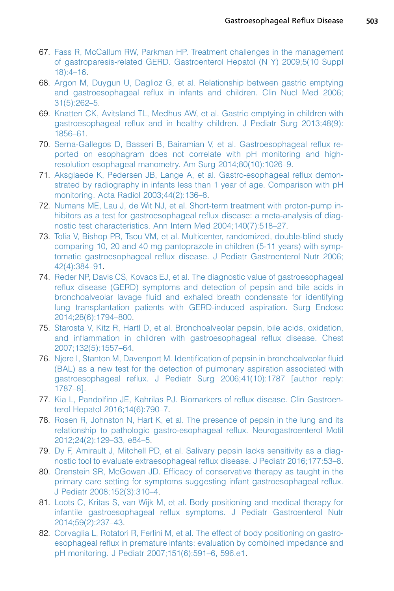- <span id="page-16-0"></span>67. [Fass R, McCallum RW, Parkman HP. Treatment challenges in the management](http://refhub.elsevier.com/S0031-3955(17)30003-2/sref67) [of gastroparesis-related GERD. Gastroenterol Hepatol \(N Y\) 2009;5\(10 Suppl](http://refhub.elsevier.com/S0031-3955(17)30003-2/sref67) [18\):4–16](http://refhub.elsevier.com/S0031-3955(17)30003-2/sref67).
- 68. [Argon M, Duygun U, Daglioz G, et al. Relationship between gastric emptying](http://refhub.elsevier.com/S0031-3955(17)30003-2/sref68) [and gastroesophageal reflux in infants and children. Clin Nucl Med 2006;](http://refhub.elsevier.com/S0031-3955(17)30003-2/sref68) [31\(5\):262–5](http://refhub.elsevier.com/S0031-3955(17)30003-2/sref68).
- 69. [Knatten CK, Avitsland TL, Medhus AW, et al. Gastric emptying in children with](http://refhub.elsevier.com/S0031-3955(17)30003-2/sref69) [gastroesophageal reflux and in healthy children. J Pediatr Surg 2013;48\(9\):](http://refhub.elsevier.com/S0031-3955(17)30003-2/sref69) [1856–61.](http://refhub.elsevier.com/S0031-3955(17)30003-2/sref69)
- 70. [Serna-Gallegos D, Basseri B, Bairamian V, et al. Gastroesophageal reflux re](http://refhub.elsevier.com/S0031-3955(17)30003-2/sref70)[ported on esophagram does not correlate with pH monitoring and high](http://refhub.elsevier.com/S0031-3955(17)30003-2/sref70)[resolution esophageal manometry. Am Surg 2014;80\(10\):1026–9](http://refhub.elsevier.com/S0031-3955(17)30003-2/sref70).
- 71. [Aksglaede K, Pedersen JB, Lange A, et al. Gastro-esophageal reflux demon](http://refhub.elsevier.com/S0031-3955(17)30003-2/sref71)[strated by radiography in infants less than 1 year of age. Comparison with pH](http://refhub.elsevier.com/S0031-3955(17)30003-2/sref71) [monitoring. Acta Radiol 2003;44\(2\):136–8](http://refhub.elsevier.com/S0031-3955(17)30003-2/sref71).
- 72. [Numans ME, Lau J, de Wit NJ, et al. Short-term treatment with proton-pump in](http://refhub.elsevier.com/S0031-3955(17)30003-2/sref72)[hibitors as a test for gastroesophageal reflux disease: a meta-analysis of diag](http://refhub.elsevier.com/S0031-3955(17)30003-2/sref72)[nostic test characteristics. Ann Intern Med 2004;140\(7\):518–27.](http://refhub.elsevier.com/S0031-3955(17)30003-2/sref72)
- 73. [Tolia V, Bishop PR, Tsou VM, et al. Multicenter, randomized, double-blind study](http://refhub.elsevier.com/S0031-3955(17)30003-2/sref73) [comparing 10, 20 and 40 mg pantoprazole in children \(5-11 years\) with symp](http://refhub.elsevier.com/S0031-3955(17)30003-2/sref73)[tomatic gastroesophageal reflux disease. J Pediatr Gastroenterol Nutr 2006;](http://refhub.elsevier.com/S0031-3955(17)30003-2/sref73) [42\(4\):384–91](http://refhub.elsevier.com/S0031-3955(17)30003-2/sref73).
- 74. [Reder NP, Davis CS, Kovacs EJ, et al. The diagnostic value of gastroesophageal](http://refhub.elsevier.com/S0031-3955(17)30003-2/sref74) [reflux disease \(GERD\) symptoms and detection of pepsin and bile acids in](http://refhub.elsevier.com/S0031-3955(17)30003-2/sref74) [bronchoalveolar lavage fluid and exhaled breath condensate for identifying](http://refhub.elsevier.com/S0031-3955(17)30003-2/sref74) [lung transplantation patients with GERD-induced aspiration. Surg Endosc](http://refhub.elsevier.com/S0031-3955(17)30003-2/sref74) [2014;28\(6\):1794–800.](http://refhub.elsevier.com/S0031-3955(17)30003-2/sref74)
- 75. [Starosta V, Kitz R, Hartl D, et al. Bronchoalveolar pepsin, bile acids, oxidation,](http://refhub.elsevier.com/S0031-3955(17)30003-2/sref75) [and inflammation in children with gastroesophageal reflux disease. Chest](http://refhub.elsevier.com/S0031-3955(17)30003-2/sref75) [2007;132\(5\):1557–64.](http://refhub.elsevier.com/S0031-3955(17)30003-2/sref75)
- 76. [Njere I, Stanton M, Davenport M. Identification of pepsin in bronchoalveolar fluid](http://refhub.elsevier.com/S0031-3955(17)30003-2/sref76) [\(BAL\) as a new test for the detection of pulmonary aspiration associated with](http://refhub.elsevier.com/S0031-3955(17)30003-2/sref76) [gastroesophageal reflux. J Pediatr Surg 2006;41\(10\):1787 \[author reply:](http://refhub.elsevier.com/S0031-3955(17)30003-2/sref76) [1787–8\].](http://refhub.elsevier.com/S0031-3955(17)30003-2/sref76)
- 77. [Kia L, Pandolfino JE, Kahrilas PJ. Biomarkers of reflux disease. Clin Gastroen](http://refhub.elsevier.com/S0031-3955(17)30003-2/sref77)[terol Hepatol 2016;14\(6\):790–7](http://refhub.elsevier.com/S0031-3955(17)30003-2/sref77).
- 78. [Rosen R, Johnston N, Hart K, et al. The presence of pepsin in the lung and its](http://refhub.elsevier.com/S0031-3955(17)30003-2/sref78) [relationship to pathologic gastro-esophageal reflux. Neurogastroenterol Motil](http://refhub.elsevier.com/S0031-3955(17)30003-2/sref78) [2012;24\(2\):129–33, e84–5](http://refhub.elsevier.com/S0031-3955(17)30003-2/sref78).
- 79. [Dy F, Amirault J, Mitchell PD, et al. Salivary pepsin lacks sensitivity as a diag](http://refhub.elsevier.com/S0031-3955(17)30003-2/sref79)[nostic tool to evaluate extraesophageal reflux disease. J Pediatr 2016;177:53–8](http://refhub.elsevier.com/S0031-3955(17)30003-2/sref79).
- 80. [Orenstein SR, McGowan JD. Efficacy of conservative therapy as taught in the](http://refhub.elsevier.com/S0031-3955(17)30003-2/sref80) [primary care setting for symptoms suggesting infant gastroesophageal reflux.](http://refhub.elsevier.com/S0031-3955(17)30003-2/sref80) [J Pediatr 2008;152\(3\):310–4](http://refhub.elsevier.com/S0031-3955(17)30003-2/sref80).
- 81. [Loots C, Kritas S, van Wijk M, et al. Body positioning and medical therapy for](http://refhub.elsevier.com/S0031-3955(17)30003-2/sref81) [infantile gastroesophageal reflux symptoms. J Pediatr Gastroenterol Nutr](http://refhub.elsevier.com/S0031-3955(17)30003-2/sref81) [2014;59\(2\):237–43.](http://refhub.elsevier.com/S0031-3955(17)30003-2/sref81)
- 82. [Corvaglia L, Rotatori R, Ferlini M, et al. The effect of body positioning on gastro](http://refhub.elsevier.com/S0031-3955(17)30003-2/sref82)[esophageal reflux in premature infants: evaluation by combined impedance and](http://refhub.elsevier.com/S0031-3955(17)30003-2/sref82) [pH monitoring. J Pediatr 2007;151\(6\):591–6, 596.e1.](http://refhub.elsevier.com/S0031-3955(17)30003-2/sref82)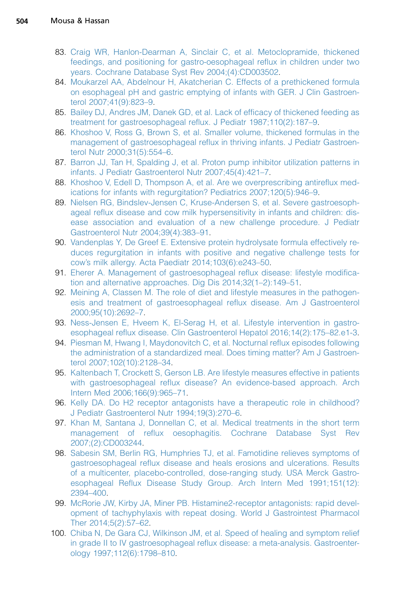- <span id="page-17-0"></span>83. [Craig WR, Hanlon-Dearman A, Sinclair C, et al. Metoclopramide, thickened](http://refhub.elsevier.com/S0031-3955(17)30003-2/sref83) [feedings, and positioning for gastro-oesophageal reflux in children under two](http://refhub.elsevier.com/S0031-3955(17)30003-2/sref83) [years. Cochrane Database Syst Rev 2004;\(4\):CD003502](http://refhub.elsevier.com/S0031-3955(17)30003-2/sref83).
- 84. [Moukarzel AA, Abdelnour H, Akatcherian C. Effects of a prethickened formula](http://refhub.elsevier.com/S0031-3955(17)30003-2/sref84) [on esophageal pH and gastric emptying of infants with GER. J Clin Gastroen](http://refhub.elsevier.com/S0031-3955(17)30003-2/sref84)[terol 2007;41\(9\):823–9.](http://refhub.elsevier.com/S0031-3955(17)30003-2/sref84)
- 85. [Bailey DJ, Andres JM, Danek GD, et al. Lack of efficacy of thickened feeding as](http://refhub.elsevier.com/S0031-3955(17)30003-2/sref85) [treatment for gastroesophageal reflux. J Pediatr 1987;110\(2\):187–9.](http://refhub.elsevier.com/S0031-3955(17)30003-2/sref85)
- 86. [Khoshoo V, Ross G, Brown S, et al. Smaller volume, thickened formulas in the](http://refhub.elsevier.com/S0031-3955(17)30003-2/sref86) [management of gastroesophageal reflux in thriving infants. J Pediatr Gastroen](http://refhub.elsevier.com/S0031-3955(17)30003-2/sref86)[terol Nutr 2000;31\(5\):554–6](http://refhub.elsevier.com/S0031-3955(17)30003-2/sref86).
- 87. [Barron JJ, Tan H, Spalding J, et al. Proton pump inhibitor utilization patterns in](http://refhub.elsevier.com/S0031-3955(17)30003-2/sref87) [infants. J Pediatr Gastroenterol Nutr 2007;45\(4\):421–7.](http://refhub.elsevier.com/S0031-3955(17)30003-2/sref87)
- 88. [Khoshoo V, Edell D, Thompson A, et al. Are we overprescribing antireflux med](http://refhub.elsevier.com/S0031-3955(17)30003-2/sref88)[ications for infants with regurgitation? Pediatrics 2007;120\(5\):946–9](http://refhub.elsevier.com/S0031-3955(17)30003-2/sref88).
- 89. [Nielsen RG, Bindslev-Jensen C, Kruse-Andersen S, et al. Severe gastroesoph](http://refhub.elsevier.com/S0031-3955(17)30003-2/sref89)[ageal reflux disease and cow milk hypersensitivity in infants and children: dis](http://refhub.elsevier.com/S0031-3955(17)30003-2/sref89)[ease association and evaluation of a new challenge procedure. J Pediatr](http://refhub.elsevier.com/S0031-3955(17)30003-2/sref89) [Gastroenterol Nutr 2004;39\(4\):383–91](http://refhub.elsevier.com/S0031-3955(17)30003-2/sref89).
- 90. [Vandenplas Y, De Greef E. Extensive protein hydrolysate formula effectively re](http://refhub.elsevier.com/S0031-3955(17)30003-2/sref90)[duces regurgitation in infants with positive and negative challenge tests for](http://refhub.elsevier.com/S0031-3955(17)30003-2/sref90) [cow's milk allergy. Acta Paediatr 2014;103\(6\):e243–50](http://refhub.elsevier.com/S0031-3955(17)30003-2/sref90).
- 91. [Eherer A. Management of gastroesophageal reflux disease: lifestyle modifica](http://refhub.elsevier.com/S0031-3955(17)30003-2/sref91)[tion and alternative approaches. Dig Dis 2014;32\(1–2\):149–51](http://refhub.elsevier.com/S0031-3955(17)30003-2/sref91).
- 92. [Meining A, Classen M. The role of diet and lifestyle measures in the pathogen](http://refhub.elsevier.com/S0031-3955(17)30003-2/sref92)[esis and treatment of gastroesophageal reflux disease. Am J Gastroenterol](http://refhub.elsevier.com/S0031-3955(17)30003-2/sref92) [2000;95\(10\):2692–7](http://refhub.elsevier.com/S0031-3955(17)30003-2/sref92).
- 93. [Ness-Jensen E, Hveem K, El-Serag H, et al. Lifestyle intervention in gastro](http://refhub.elsevier.com/S0031-3955(17)30003-2/sref93)[esophageal reflux disease. Clin Gastroenterol Hepatol 2016;14\(2\):175–82.e1-3.](http://refhub.elsevier.com/S0031-3955(17)30003-2/sref93)
- 94. [Piesman M, Hwang I, Maydonovitch C, et al. Nocturnal reflux episodes following](http://refhub.elsevier.com/S0031-3955(17)30003-2/sref94) [the administration of a standardized meal. Does timing matter? Am J Gastroen](http://refhub.elsevier.com/S0031-3955(17)30003-2/sref94)[terol 2007;102\(10\):2128–34](http://refhub.elsevier.com/S0031-3955(17)30003-2/sref94).
- 95. [Kaltenbach T, Crockett S, Gerson LB. Are lifestyle measures effective in patients](http://refhub.elsevier.com/S0031-3955(17)30003-2/sref95) [with gastroesophageal reflux disease? An evidence-based approach. Arch](http://refhub.elsevier.com/S0031-3955(17)30003-2/sref95) [Intern Med 2006;166\(9\):965–71](http://refhub.elsevier.com/S0031-3955(17)30003-2/sref95).
- 96. [Kelly DA. Do H2 receptor antagonists have a therapeutic role in childhood?](http://refhub.elsevier.com/S0031-3955(17)30003-2/sref96) [J Pediatr Gastroenterol Nutr 1994;19\(3\):270–6.](http://refhub.elsevier.com/S0031-3955(17)30003-2/sref96)
- 97. [Khan M, Santana J, Donnellan C, et al. Medical treatments in the short term](http://refhub.elsevier.com/S0031-3955(17)30003-2/sref97) [management of reflux oesophagitis. Cochrane Database Syst Rev](http://refhub.elsevier.com/S0031-3955(17)30003-2/sref97) [2007;\(2\):CD003244.](http://refhub.elsevier.com/S0031-3955(17)30003-2/sref97)
- 98. [Sabesin SM, Berlin RG, Humphries TJ, et al. Famotidine relieves symptoms of](http://refhub.elsevier.com/S0031-3955(17)30003-2/sref98) [gastroesophageal reflux disease and heals erosions and ulcerations. Results](http://refhub.elsevier.com/S0031-3955(17)30003-2/sref98) [of a multicenter, placebo-controlled, dose-ranging study. USA Merck Gastro](http://refhub.elsevier.com/S0031-3955(17)30003-2/sref98)[esophageal Reflux Disease Study Group. Arch Intern Med 1991;151\(12\):](http://refhub.elsevier.com/S0031-3955(17)30003-2/sref98) [2394–400](http://refhub.elsevier.com/S0031-3955(17)30003-2/sref98).
- 99. [McRorie JW, Kirby JA, Miner PB. Histamine2-receptor antagonists: rapid devel](http://refhub.elsevier.com/S0031-3955(17)30003-2/sref99)[opment of tachyphylaxis with repeat dosing. World J Gastrointest Pharmacol](http://refhub.elsevier.com/S0031-3955(17)30003-2/sref99) [Ther 2014;5\(2\):57–62](http://refhub.elsevier.com/S0031-3955(17)30003-2/sref99).
- 100. [Chiba N, De Gara CJ, Wilkinson JM, et al. Speed of healing and symptom relief](http://refhub.elsevier.com/S0031-3955(17)30003-2/sref100) [in grade II to IV gastroesophageal reflux disease: a meta-analysis. Gastroenter](http://refhub.elsevier.com/S0031-3955(17)30003-2/sref100)[ology 1997;112\(6\):1798–810.](http://refhub.elsevier.com/S0031-3955(17)30003-2/sref100)